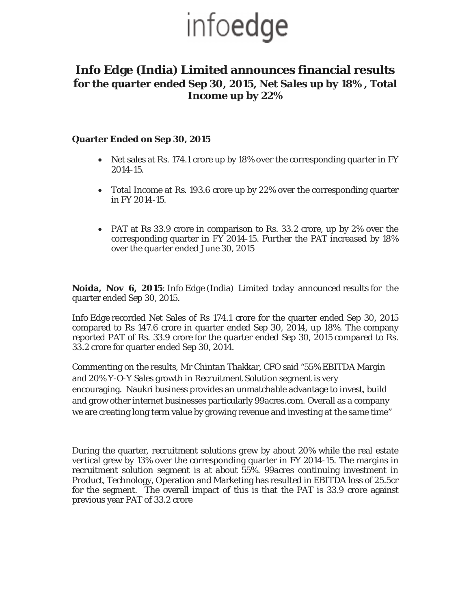## infoedge

### **Info Edge (India) Limited announces financial results for the quarter ended Sep 30, 2015, Net Sales up by 18% , Total Income up by 22%**

#### **Quarter Ended on Sep 30, 2015**

- Net sales at Rs. 174.1 crore up by 18% over the corresponding quarter in FY 2014-15.
- Total Income at Rs. 193.6 crore up by 22% over the corresponding quarter in FY 2014-15.
- PAT at Rs 33.9 crore in comparison to Rs. 33.2 crore, up by 2% over the corresponding quarter in FY 2014-15. Further the PAT increased by 18% over the quarter ended June 30, 2015

**Noida, Nov 6, 2015**: Info Edge (India) Limited today announced results for the quarter ended Sep 30, 2015.

Info Edge recorded Net Sales of Rs 174.1 crore for the quarter ended Sep 30, 2015 compared to Rs 147.6 crore in quarter ended Sep 30, 2014, up 18%. The company reported PAT of Rs. 33.9 crore for the quarter ended Sep 30, 2015 compared to Rs. 33.2 crore for quarter ended Sep 30, 2014.

Commenting on the results, Mr Chintan Thakkar, CFO said "55% EBITDA Margin and 20% Y-O-Y Sales growth in Recruitment Solution segment is very encouraging. Naukri business provides an unmatchable advantage to invest, build and grow other internet businesses particularly 99acres.com. Overall as a company we are creating long term value by growing revenue and investing at the same time"

During the quarter, recruitment solutions grew by about 20% while the real estate vertical grew by 13% over the corresponding quarter in FY 2014-15. The margins in recruitment solution segment is at about 55%. 99acres continuing investment in Product, Technology, Operation and Marketing has resulted in EBITDA loss of 25.5cr for the segment. The overall impact of this is that the PAT is 33.9 crore against previous year PAT of 33.2 crore